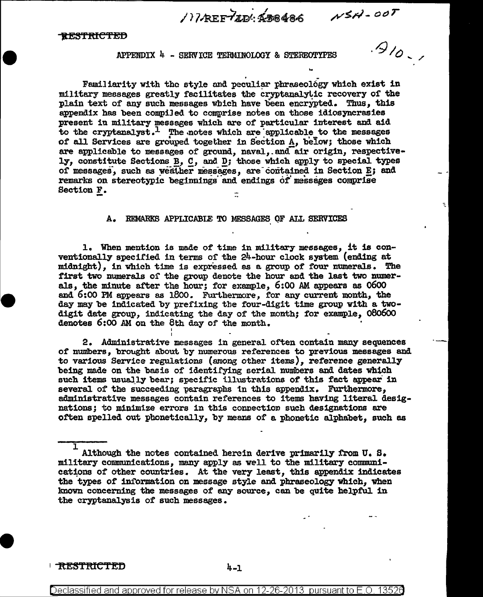1) TAREFTING REAGAN NSH-00T

## APPENDIX 4 - SERVICE TERMINOLOGY & STEREOTYPES

Familiarity with the style and peculiar phraseology which exist in military messages greatly facilitates the cryptanalytic recovery of the plain text of any such messages which have been encrypted. Thus, this appendix has been compiled to comprise notes on those idiosyncrasies present in military messages which are of particular interest and aid to the cryptanalyst.<sup>1</sup> The notes which are applicable to the messages of all Services are grouped together in Section A, below; those which are applicable to messages of ground, naval, and air origin, respectively, constitute Sections B, C, and D; those which apply to special types of messages, such as weather messages, are contained in Section E; and remarks on stereotypic beginnings and endings of messages comprise Section F.

## REMARKS APPLICABLE TO MESSAGES OF ALL SERVICES

1. When mention is made of time in military messages, it is conventionally specified in terms of the 24-hour clock system (ending at midnight), in which time is expressed as a group of four numerals. The first two numerals of the group denote the hour and the last two numerals, the minute after the hour; for example, 6:00 AM appears as 0600 and 6:00 PM appears as 1800. Furthermore, for any current month, the day may be indicated by prefixing the four-digit time group with a twodigit date group, indicating the day of the month; for example, 080600 denotes 6:00 AM on the 8th day of the month.

2. Administrative messages in general often contain many sequences of numbers, brought about by numerous references to previous messages and to various Service regulations (among other items), reference generally being made on the basis of identifying serial numbers and dates which such items usually bear; specific illustrations of this fact appear in several of the succeeding paragraphs in this appendix. Furthermore, administrative messages contain references to items having literal designations; to minimize errors in this connection such designations are often spelled out phonetically, by means of a phonetic alphabet. such as

**TRESTRICTED** 

 $4 - 1$ 

Although the notes contained herein derive primarily from U.S. military communications, many apply as well to the military communications of other countries. At the very least, this appendix indicates the types of information on message style and phraseology which, when known concerning the messages of any source, can be quite helpful in the cryptanalysis of such messages.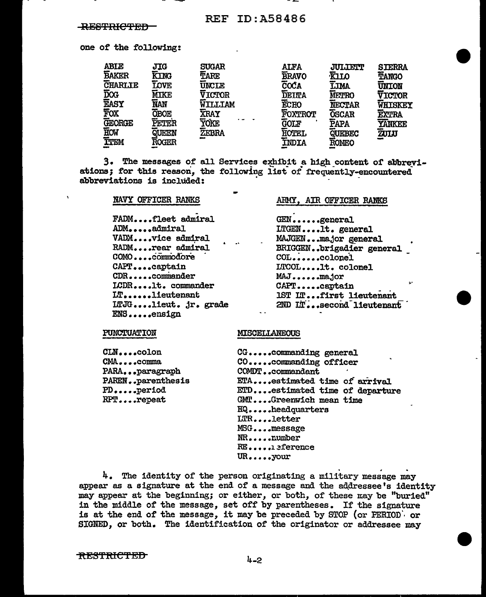one of the following:

| <b>ABIE</b>    | <b>JIG</b>   | <b>SUGAR</b>   | <b>ALFA</b>    | <b>JULIETT</b> | <b>STERRA</b> |
|----------------|--------------|----------------|----------------|----------------|---------------|
| <b>BAKER</b>   | <b>KING</b>  | TARE           | <b>BRAVO</b>   | <b>KILO</b>    | TANGO         |
| <b>CHARLIE</b> | <b>LOVE</b>  | <b>UNCLE</b>   | <b>COĆA</b>    | LIMA           | UNION         |
| <b>DOG</b>     | <b>MIKE</b>  | <b>VICTOR</b>  | <b>DEITA</b>   | <b>METRO</b>   | <b>VICTOR</b> |
| <b>EASY</b>    | <b>NAN</b>   | <b>WILLIAM</b> | ECHO           | <b>NECTAR</b>  | WHISKEY       |
| FOX            | <b>OBOE</b>  | <b>XRAY</b>    | <b>FOXTROT</b> | <b>OSCAR</b>   | <b>EXTRA</b>  |
| <b>GEORGE</b>  | PETER        | ŸŎKE           | <b>GOLF</b>    | PAPA           | YANKEE        |
| <b>HOW</b>     | QUEEN        | ZEBRA          | <b>HOTEL</b>   | QUEBEC         | ZULU          |
| TTEM           | <b>ROGER</b> |                | INDIA          | ROMEO          |               |
|                |              |                |                |                |               |

3. The messages of all Services exhibit a high content of abbreviations; for this reason, the following list of frequently-encountered abbreviations is included:

| FADMfleet admiral    |
|----------------------|
| ADMadmiral           |
| VADMvice admiral     |
| RADMrear admiral     |
| COMOcommodore        |
| CAPTcaptain          |
| $CDR$ .commander     |
| ICDRlt. commander    |
| ITlieutenant         |
| ITJGlieut. jr. grade |
| $RMS$ . $q$ ngign    |

**NAVY OFFICER RANKS** 

#### ARMY, AIR OFFICER RANKS

GEN......general LTGEN....1t. general MAJGEN...major general BRIGGEN..brigadier general COL......colonel LTCOL....1t. colonel MAJ......major CAPT.....captain IST IT...first lieutenant 2ND In...second lieutenant

#### PUNCTUATION

CLN....colon CMA....comma PARA...paragraph PAREN..parenthesis PD.....period RPT....repeat

#### **MISCELLANEOUS**

CG......commanding general CO......commanding officer COMDT..commandant ETA....estimated time of arrival ETD....estimated time of departure GMT....Greenwich mean time HQ.....headquarters LTR....letter MSG....message NR.....number RE.....1eference  $\text{UR}_{\cdot \cdot \cdot \cdot \cdot}$ your

4. The identity of the person originating a military message may appear as a signature at the end of a message and the addressee's identity may appear at the beginning; or either, or both, of these may be "buried" in the middle of the message, set off by parentheses. If the signature is at the end of the message, it may be preceded by STOP (or PERIOD) or SIGNED, or both. The identification of the originator or addressee may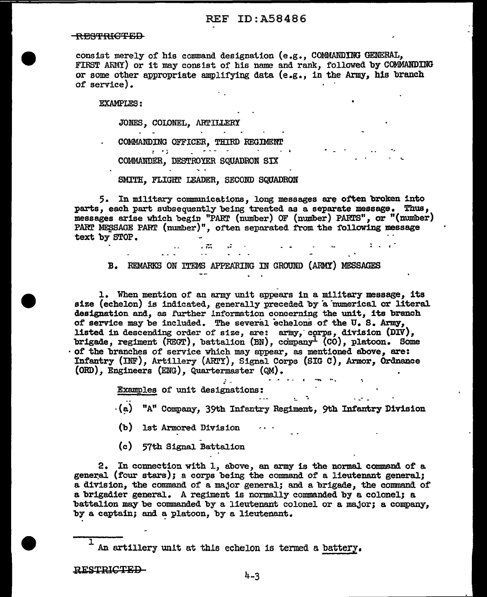## REF ID:A58486

#### RES'f'fHG'F:SD

consist merely of his command designation  $(e.g., COMMANDING GENERAL,$ FIRST ARMY) or it may consist of his name and rank, followed by COMMANDING or some other appropriate amplifying data (e.g., in the Army, his branch of service) ..

EXAMPLES:

JONES, COLONEL, ARTILLERY

COMMANDING OFFICER, THIRD REGIMENT

. . , COMMANDER, DESTROYER SQUADRON SIX

SMITH, FLIGHT LEADER, SECOND SQUADRON

5. In military communications, long messages are often broken into parts, each part subsequently being treated as a separate message. Thus, messages arise which begin "PART (number) OF (number) PARTS", or "(number) PART MESSAGE PART (number)", often separated from the following message · text by STOP. . . .

B. REMARKS ON ITEMS APPEARING IN GROUND (ARMY) MESSAGES

1. When mention of an army unit appears in a military message, its size (echelon) is indicated, generally preceded by a numerical or literal designation and, as further information concerning the unit, its branch of service may be included. The several echelons of the U.S. Army, listed in descending order of size, are: army, corps, division  $(DIV)$ , brigade, regiment (REGT), battalion (BN), company<sup>1</sup> (CO), platoon. Some of the branches of service which may appear, as mentioned above, are: Infantry (INF), Artillery (ARTY), Signal Corps (SIG C), Armor, Ordnance (ORD), Engineers (ENG), Quartermaster (QM).

Examples of unit designations: ...<br>(a) "A" Company, 39th Infantry Regiment, 9th Infantry Division

 $\mathbf{r}$  , and  $\mathbf{r}$ 

(b) 1st Armored Division

(c) 57th Signal Battalion

2. In connection with 1, above, an army is the normal command of a general (four stars); a corps being the command of a lieutenant general; a division, the command of a major general; and a brigade, the command of a brigadier general. A regiment is normally commanded by a colonel; a battalion may be commanded by a lieutenant colonel or a major; a company, by a captain; and a platoon, by a lieutenant.

 $1$  An artillery unit at this echelon is termed a battery.

RESTRICTED-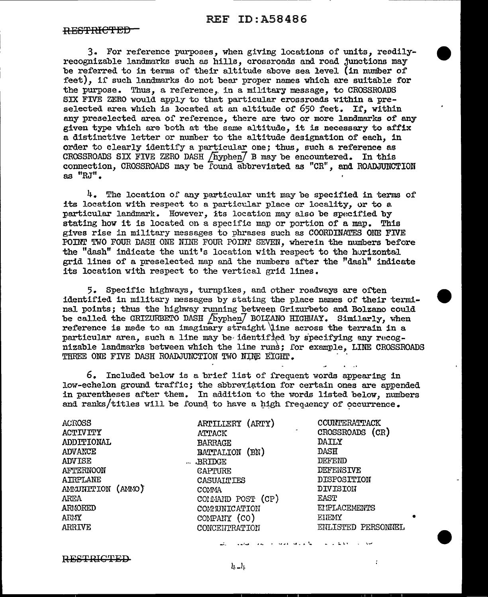3. For reference purposes, when giving locations of units, reedilyrecognizable landmarks such as hills, crossroads and road junctions may be referred to in terms of their altitude above sea level (in number of feet), if such landmarks do not bear proper names which are suitable for the purpose. Thus, a reference, in a military message, to CROSSROADS SIX FIVE ZERO would apply to that particular crossroads within a preselected area which is located at an altitude of 650 feet. If, within any preselected area of reference, there are two or more landmarks of any given type which are both at. the same altitude, it is necessary to affix a distinctive letter or number to the altitude designation of each, in order to clearly identify a particular one; thus, such a reference as CROSSROADS SIX FIVE ZERO DASH  $/$  hyphen $/$  B may be encountered. In this connection, CROSSROADS may be found abbreviated as "CR", and ROADJUNCTION as "RJ".

 $4.$  The location of any particular unit may be specified in terms of its location with respect to a particular place or locality, or to a particular landmark. However, its location may also be specified by stating how it is located on a specific map or portion of a map. This gives rise in military messages to phrases such as COORDINATES ONE FlVE POINT TWO FOUR DASH ONE NINE FOUR POINT SEVEN, wherein the numbers before the "dash" indicate the unit's location with respect to the horizontal grid lines of a preselected map and the numbers after the ''dash" indicate its location with respect to the vertical grid lines.

5. Specific highways, turnpikes, and other roadways are oi'ten identified in military messages by stating the place names of their terminal points; thus the highway running between Grizurbeto and Bolzano could be called the GRIZURBETO DASH [hyphen] BOLZANO HIGHWAY. Similarly, when reference is made to an imaginary straight dine across the terrain in a particular area, such a line may be identified by specifying any  $r_{0}$ cognizable landmarks between which the line runs; for example, LINE CROSSROADS THREE ONE FIVE DASH ROADJUNCTION TWO NINE EIGHT.

6. Included below is a brief list of frequent words appearing in low-echelon ground traffic; the abbreviation for certain ones are appended in parentheses after them. In addition to the words listed below, numbers and ranks/titles will be found to have a high frequency of occurrence.

| ACROSS<br><b>ACTIVITY</b><br>ADDITIONAL<br>ADVANCE<br><b>ADVISE</b><br>AFTERNOON<br>AIRPLANE<br>AMMUNITION (AMMO)<br>AREA<br>ARMORED<br>ARMY<br>ARRIVE | ARTILLERY (ARTY)<br>ATTACK<br><b>BARRAGE</b><br>(BN)<br>BATTALION<br><b>BRIDGE</b><br>$\cdots$<br>CAPTURE<br>CASUALTIES<br>COMMA<br>COMMAID POST (CP)<br>COMMINICATION<br>COMPANY (CO)<br>CONCENTRATION | COUNTERATTACK<br>CROSSROADS (CR)<br>DAILY<br>DASH<br>DEFEND<br>DEFENSIVE<br>DISPOSITION<br>DIVISION<br>EAST<br>EIPLACEMENTS<br>EIEMY<br>ENLISTED PERSONNEL |
|--------------------------------------------------------------------------------------------------------------------------------------------------------|---------------------------------------------------------------------------------------------------------------------------------------------------------------------------------------------------------|------------------------------------------------------------------------------------------------------------------------------------------------------------|
|--------------------------------------------------------------------------------------------------------------------------------------------------------|---------------------------------------------------------------------------------------------------------------------------------------------------------------------------------------------------------|------------------------------------------------------------------------------------------------------------------------------------------------------------|

RESTRICTED

 $l_1 - l_1$ 

' .... *.>* ~ ~· - ..I. ·- - - .l.. \. , <sup>~</sup>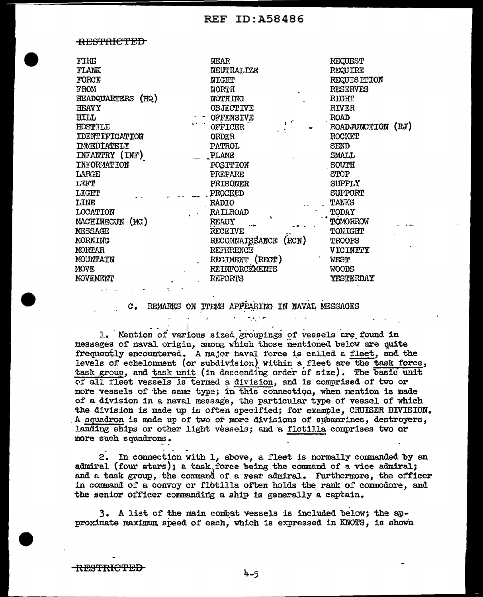<del>RESTRICTED</del>

| FIRE<br><b>FLANK</b><br>FORCE<br>FROM<br>HEADQUARTERS (HQ)<br><b>HEAVY</b><br>HILL<br>HOSTILE<br><b>IDENTIFICATION</b><br>IMMEDIATELY<br>INFANTRY (INF)<br>INFORMATION<br>LARGE<br>LEFT<br><b>LIGHT</b><br>LINE<br>LOCATION<br>MACHINEGUN (MG)<br>MESSAGE<br><b>MORNING</b><br>MORTAR<br>MOUNTAIN<br>MOVE | NEAR<br>NEUTRALIZE<br><b>NIGHT</b><br><b>NORTH</b><br>NOTHING<br>OBJECTIVE<br><b>OFFENSIVE</b><br>OFFICER<br><b>ORDER</b><br>PATROL<br>PLANE<br>POSITION<br>PREPARE<br>PRISONER<br>PROCEED<br><b>RADIO</b><br>RAILROAD<br><b>READY</b><br><b>RECEIVE</b><br>RECONNAISSANCE<br>(RCN)<br>REFERENCE<br>REGIMENT (RECT)<br>REINFORCEMENTS | REQUEST<br><b>REQUIRE</b><br><b>REQUISITION</b><br><b>RESERVES</b><br><b>RIGHT</b><br><b>RIVER</b><br><b>ROAD</b><br>ROADJUNCTION (RJ)<br>ROCKET<br>SEND<br>SMALL<br>SOUTH<br>STOP<br><b>SUPPLY</b><br>SUPPORT<br><b>TANKS</b><br>TODAY<br>TOMORROW<br>TONIGHT<br><b>TROOPS</b><br>VICINITY<br>WEST<br>WOODS |
|-----------------------------------------------------------------------------------------------------------------------------------------------------------------------------------------------------------------------------------------------------------------------------------------------------------|---------------------------------------------------------------------------------------------------------------------------------------------------------------------------------------------------------------------------------------------------------------------------------------------------------------------------------------|--------------------------------------------------------------------------------------------------------------------------------------------------------------------------------------------------------------------------------------------------------------------------------------------------------------|
| MOVEMENT                                                                                                                                                                                                                                                                                                  | REPORTS                                                                                                                                                                                                                                                                                                                               | YESTERDAY                                                                                                                                                                                                                                                                                                    |
|                                                                                                                                                                                                                                                                                                           |                                                                                                                                                                                                                                                                                                                                       |                                                                                                                                                                                                                                                                                                              |

REMARKS ON ITEMS APPEARING IN NAVAL MESSAGES  $\mathbf{C}$ .

1. Mention of various sized groupings of vessels are found in messages of naval origin, among which those mentioned below are quite frequently encountered. A major naval force is called a fleet, and the levels of echelonment (or subdivision) within a fleet are the task force, task group, and task unit (in descending order of size). The basic unit of all fleet vessels is termed a division, and is comprised of two or more vessels of the same type; in this connection, when mention is made of a division in a naval message, the particular type of vessel of which the division is made up is often specified; for example, CRUISER DIVISION. A squadron is made up of two or more divisions of submarines, destroyers, landing ships or other light vessels; and a flotilla comprises two or more such squadrons.

2. In connection with 1, above, a fleet is normally commanded by an admiral (four stars); a task force being the command of a vice admiral; and a task group, the command of a rear admiral. Furthermore, the officer in command of a convoy or flotilla often holds the rank of commodore, and the senior officer commanding a ship is generally a captain.

3. A list of the main combat vessels is included below; the approximate maximum speed of each, which is expressed in KNOTS, is shown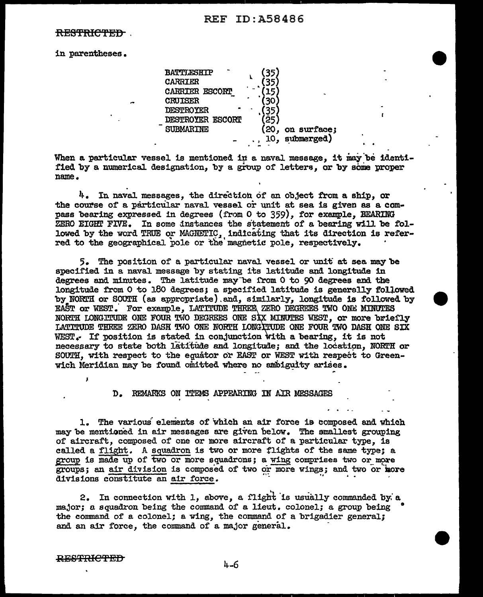<del>RESTRICTED</del>

in parentheses.

| <b>BATTLESHIP</b>       |     |             |
|-------------------------|-----|-------------|
| <b>CARRIER</b>          |     |             |
| CARRIER ESCORT          |     |             |
| <b>CRUISER</b>          |     |             |
| <b>DESTROYER</b>        |     |             |
| <b>DESTROYER ESCORT</b> |     |             |
| <b>SUBMARINE</b>        | (20 | on surface; |
|                         | 10, | submerged)  |
|                         |     |             |

When a particular vessel is mentioned in a naval message, it may be identified by a numerical designation, by a group of letters, or by some proper name.

 $4.$  In naval messages, the direction of an object from a ship, or the course of a particular naval vessel or unit at sea is given as a compass bearing expressed in degrees (from  $0$  to  $359$ ), for example, BEARING ZERO EIGHT FIVE. In some instances the statement of a bearing will be followed by the word TRUE or MAGNETIC, indicating that its direction is referred to the geographical pole or the magnetic pole, respectively.

5.. The position of a particular naval. vessel or unit" at sea. may be specified in a naval message by stating its latitude and longitude in degrees and minutes. The latitude may·be i'rom 0 to 90 degrees and the longitude from O to 180 degrees; a specified latitude is generally followed by NORffi or SOOTH (as appropriate) .and, similarly, longitude is followed by EAST or WEST. For example, LATITUDE THREE ZERO DEGREES TWO ONE MINUTES NORTH LONGITUDE ONE FOUR TWO DEGREES ONE SIX MINUTES WEST, or more briefly LATITUDE THREE ZERO DASH TWO ONE NORTH LONG TUDE ONE FOUR TWO DASH ONE SIX WEST $_{\epsilon}$  If position is stated in conjunction with a bearing, it is not necessary to state both latitude and longitude; and the location, NORTH or SOUTH, vith respect to the equator or EAST or WEST with respect to Greenwich Meridian may be found omitted where no ambiguity arises.

D. REMARKS ON ITEMS APPEARING IN AIR MESSAGES

1. The various' elenients of which an air force is composed end which may be mentioned in air messages are given below. The smallest grouping of aircraft, composed of one or more aircraft of a particular type, is called a flight. A squadron is two or more flights of the same type; a group is made up of two or more squadrons; a wing comprises two or more groups; an air division is composed of two or more vings; and two or iaore divisions constitute an air force.

2. In connection with 1, above, a flight is usually commanded by a major; a. squadron being the command of a lieut. colonel; a. group being • the command of a colonel; a ving, the command of a brigadier general; and an air force, the command of a major general.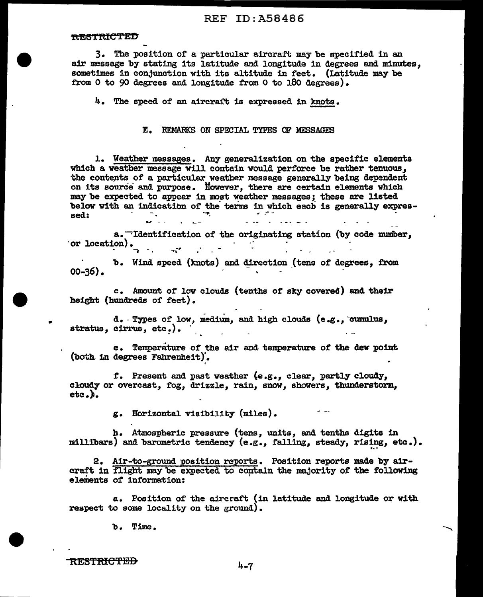3. The position of a particular aircraft may be specified in an air message by stating its latitude and longitude in degrees and minutes. sometimes in conjunction with its altitude in feet. (Latitude may be from 0 to 90 degrees and longitude from 0 to 180 degrees).

4. The speed of an aircraft is expressed in knots.

E. REMARKS ON SPECIAL TYPES OF MESSAGES

1. Weather messages. Any generalization on the specific elements which a weather message will contain would perforce be rather tenuous. the contents of a particular weather message generally being dependent on its source and purpose. However, there are certain elements which may be expected to appear in most weather messages; these are listed below with an indication of the terms in which each is generally expresrengen i sed:

a. Thentification of the originating station (by code number, or location).  $\mathcal{F}^{\mathcal{G}}_{\mathcal{G}}$  , where  $\mathcal{F}^{\mathcal{G}}_{\mathcal{G}}$  $\pi^*$ 

b. Wind speed (knots) and direction (tens of degrees, from  $00 - 36$ ).

c. Amount of low clouds (tenths of sky covered) and their height (hundreds of feet).

d. Types of low, medium, and high clouds (e.g., cumulus, stratus, cirrus, etc.).

e. Temperature of the air and temperature of the dew point (both in degrees Fahrenheit).

f. Present and past weather (e.g., clear, partly cloudy, cloudy or overcast, fog, drizzle, rain, snow, showers, thunderstorm,  $eta, \}$ .

g. Horizontal visibility (miles).

h. Atmospheric pressure (tens, units, and tenths digits in millibars) and barometric tendency (e.g., falling, steady, rising, etc.).

2. Air-to-ground position reports. Position reports made by aircraft in flight may be expected to contain the majority of the following elements of information:

a. Position of the aircraft (in latitude and longitude or with respect to some locality on the ground).

b. Time.

**RESTRICTED** 

 $4 - 7$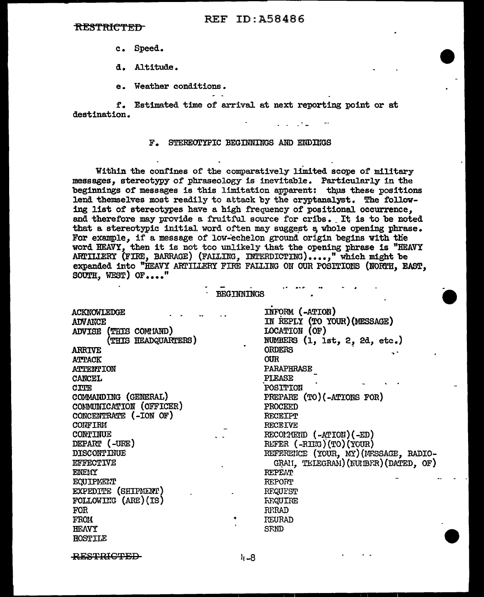#### <del>RESTRICTED</del>

- c. Speed.
- d. Altitude.
- e. Weather conditions.

f. Estimated time of arrival at next reporting point or at destination.

#### F. STEREOTYPIC BEGINNINGS AND ENDINGS

Within the confines of the comparatively limited scope of military messages, stereotypy of phraseology is inevitable. Particularly in the beginnings of messages is this limitation apparent: thus these positions lend themselves most readily to attack by the cryptanalyst. The following list of stereotypes have a high frequency of positional occurrence. and therefore may provide a fruitful source for cribs. It is to be noted that a stereotypic initial word often may suggest a whole opening phrase. For example, if a message of low-echelon ground origin begins with the word HEAVY, then it is not too unlikely that the opening phrase is "HEAVY ARTILLERY (FIRE, BARRAGE) (FALLING, INTERDICTING)....," which might be expanded into "HEAVY ARTILLERY FIRE FALLING ON OUR POSITIONS (NORTH, EAST, SOUTH, WEST) OF...."

 $\overline{\phantom{a}}$ 

|                                 | <b>BEGTULTINGS</b> |                                       |
|---------------------------------|--------------------|---------------------------------------|
| ACKNOWLEDGE                     |                    | INFORM (-ATION)                       |
| <b>ADVANCE</b>                  |                    | IN REPLY (TO YOUR) (MESSAGE)          |
| (THIS COMMAND)<br><b>ADVISE</b> |                    | LOCATION (OF)                         |
| (THIS HEADQUARTERS)             |                    | NUMBERS (1, 1st, 2, 2d, etc.)         |
| <b>ARRIVE</b>                   |                    | <b>ORDERS</b>                         |
| <b>ATTACK</b>                   |                    | <b>OUR</b>                            |
| ATTENTION                       |                    | PARAPHRASE                            |
| CANCEL                          |                    | PLEASE                                |
| <b>CITE</b>                     |                    | POSITION                              |
| COMMANDING (GENERAL)            |                    | PREPARE (TO) (-ATIONS FOR)            |
| COMMUNICATION (OFFICER)         |                    | PROCEED                               |
| CONCENTRATE (-ION OF)           |                    | <b>RECEIPT</b>                        |
| CONFIRM                         |                    | <b>RECEIVE</b>                        |
| CONTINUE                        |                    | RECOLOREID (-ATION)(-ED)              |
| DEPART (-URE)                   |                    | REFER (-RIKG) (TO) (YOUR)             |
| <b>DISCONTINUE</b>              |                    | REFERENCE (YOUR, MY) (MESSAGE, RADIO- |
| <b>EFFECTIVE</b>                |                    | GRAN, TELEGRAM) (NUMBER) (DATED, OF)  |
| <b>ENEMY</b>                    |                    | <b>REPEAT</b>                         |
| EQUIPMENT                       |                    | REPORT                                |
| EXPEDITE (SHIPMENT)             |                    | REQUEST                               |
| FOLLOWING (ARE)(IS)             |                    | <b><i>HRQUIRE</i></b>                 |
| <b>FOR</b>                      |                    | <b>RFRAD</b>                          |
| <b>FROM</b>                     |                    | REURAD                                |
| HEAVY                           |                    | SFND                                  |
| <b>HOSTILE</b>                  |                    |                                       |

**RESTRICTED**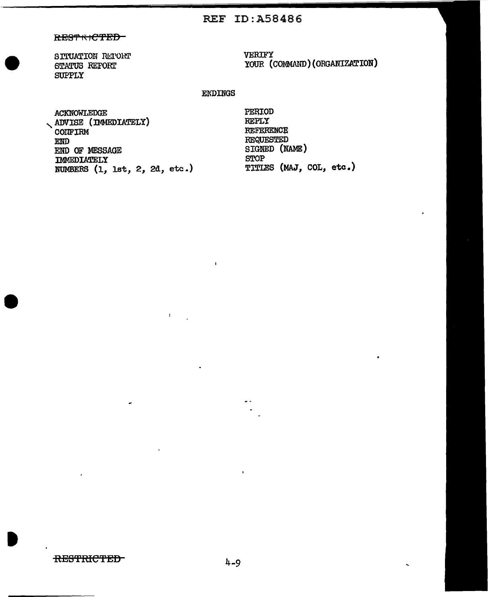## **REF ID:A58486**

## RESTRICTED

SITUATION RETORT STATUS REFORT **SUPPLY** 

VERIFY YOUR (COMMAND) (ORGANIZATION)

## **ENDINGS**

 $\mathbf{I}$ 

 $\mathbf{I}$ 

**ACKNOWLEDGE** ADVISE (IMMEDIATELY) COIFIRM END END OF MESSAGE IMMEDIATELY NUMBERS (1, lst, 2, 2d, etc.) PERIOD **REPLY** REFERENCE **REQUESTED** SIGNED (NAME) **STOP** TITIES (MAJ, COL, etc.)

**RESTRICTED**